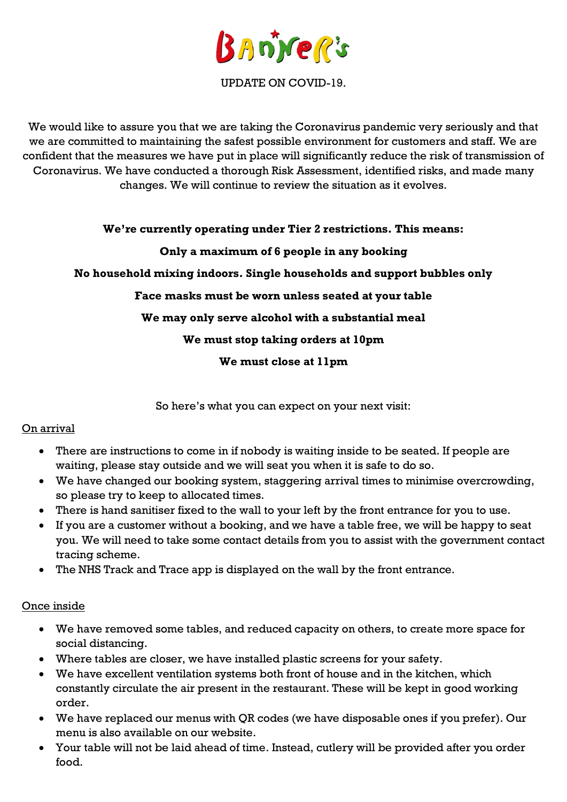

UPDATE ON COVID-19.

We would like to assure you that we are taking the Coronavirus pandemic very seriously and that we are committed to maintaining the safest possible environment for customers and staff. We are confident that the measures we have put in place will significantly reduce the risk of transmission of Coronavirus. We have conducted a thorough Risk Assessment, identified risks, and made many changes. We will continue to review the situation as it evolves.

#### **We're currently operating under Tier 2 restrictions. This means:**

## **Only a maximum of 6 people in any booking**

**No household mixing indoors. Single households and support bubbles only**

## **Face masks must be worn unless seated at your table**

## **We may only serve alcohol with a substantial meal**

## **We must stop taking orders at 10pm**

**We must close at 11pm**

So here's what you can expect on your next visit:

#### On arrival

- There are instructions to come in if nobody is waiting inside to be seated. If people are waiting, please stay outside and we will seat you when it is safe to do so.
- We have changed our booking system, staggering arrival times to minimise overcrowding, so please try to keep to allocated times.
- There is hand sanitiser fixed to the wall to your left by the front entrance for you to use.
- If you are a customer without a booking, and we have a table free, we will be happy to seat you. We will need to take some contact details from you to assist with the government contact tracing scheme.
- The NHS Track and Trace app is displayed on the wall by the front entrance.

#### Once inside

- We have removed some tables, and reduced capacity on others, to create more space for social distancing.
- Where tables are closer, we have installed plastic screens for your safety.
- We have excellent ventilation systems both front of house and in the kitchen, which constantly circulate the air present in the restaurant. These will be kept in good working order.
- We have replaced our menus with QR codes (we have disposable ones if you prefer). Our menu is also available on our website.
- Your table will not be laid ahead of time. Instead, cutlery will be provided after you order food.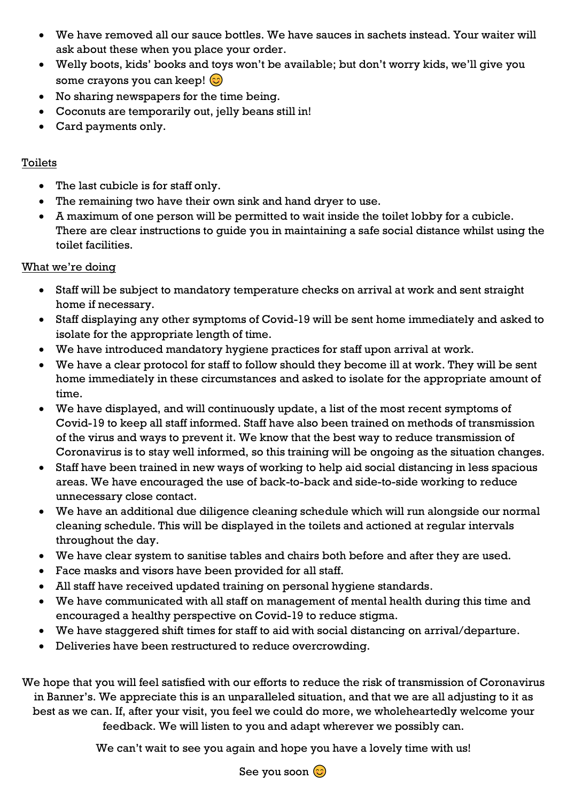- We have removed all our sauce bottles. We have sauces in sachets instead. Your waiter will ask about these when you place your order.
- Welly boots, kids' books and toys won't be available; but don't worry kids, we'll give you some crayons you can keep!  $\circled{c}$
- No sharing newspapers for the time being.
- Coconuts are temporarily out, jelly beans still in!
- Card payments only.

## Toilets

- The last cubicle is for staff only.
- The remaining two have their own sink and hand dryer to use.
- A maximum of one person will be permitted to wait inside the toilet lobby for a cubicle. There are clear instructions to guide you in maintaining a safe social distance whilst using the toilet facilities.

# What we're doing

- Staff will be subject to mandatory temperature checks on arrival at work and sent straight home if necessary.
- Staff displaying any other symptoms of Covid-19 will be sent home immediately and asked to isolate for the appropriate length of time.
- We have introduced mandatory hygiene practices for staff upon arrival at work.
- We have a clear protocol for staff to follow should they become ill at work. They will be sent home immediately in these circumstances and asked to isolate for the appropriate amount of time.
- We have displayed, and will continuously update, a list of the most recent symptoms of Covid-19 to keep all staff informed. Staff have also been trained on methods of transmission of the virus and ways to prevent it. We know that the best way to reduce transmission of Coronavirus is to stay well informed, so this training will be ongoing as the situation changes.
- Staff have been trained in new ways of working to help aid social distancing in less spacious areas. We have encouraged the use of back-to-back and side-to-side working to reduce unnecessary close contact.
- We have an additional due diligence cleaning schedule which will run alongside our normal cleaning schedule. This will be displayed in the toilets and actioned at regular intervals throughout the day.
- We have clear system to sanitise tables and chairs both before and after they are used.
- Face masks and visors have been provided for all staff.
- All staff have received updated training on personal hygiene standards.
- We have communicated with all staff on management of mental health during this time and encouraged a healthy perspective on Covid-19 to reduce stigma.
- We have staggered shift times for staff to aid with social distancing on arrival/departure.
- Deliveries have been restructured to reduce overcrowding.

We hope that you will feel satisfied with our efforts to reduce the risk of transmission of Coronavirus in Banner's. We appreciate this is an unparalleled situation, and that we are all adjusting to it as best as we can. If, after your visit, you feel we could do more, we wholeheartedly welcome your feedback. We will listen to you and adapt wherever we possibly can.

We can't wait to see you again and hope you have a lovely time with us!